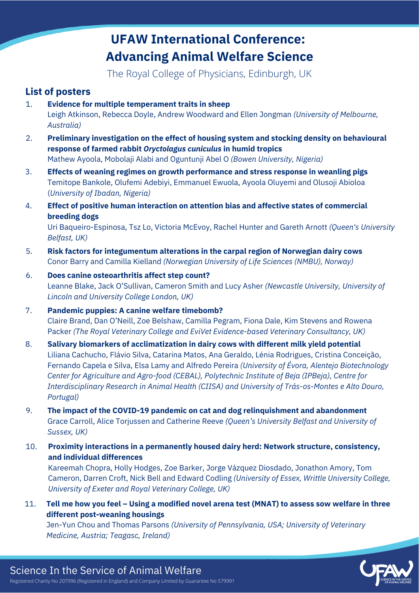The Royal College of Physicians, Edinburgh, UK

## **List of posters**

- 1. **Evidence for multiple temperament traits in sheep** Leigh Atkinson, Rebecca Doyle, Andrew Woodward and Ellen Jongman *(University of Melbourne, Australia)*
- 2. **Preliminary investigation on the effect of housing system and stocking density on behavioural response of farmed rabbit** *Oryctolagus cuniculus* **in humid tropics** Mathew Ayoola, Mobolaji Alabi and Oguntunji Abel O *(Bowen University, Nigeria)*
- 3. **Effects of weaning regimes on growth performance and stress response in weanling pigs** Temitope Bankole, Olufemi Adebiyi, Emmanuel Ewuola, Ayoola Oluyemi and Olusoji Abioloa (*University of Ibadan, Nigeria)*
- 4. **Effect of positive human interaction on attention bias and affective states of commercial breeding dogs**

Uri Baqueiro-Espinosa, Tsz Lo, Victoria McEvoy, Rachel Hunter and Gareth Arnott *(Queen's University Belfast, UK)*

- 5. **Risk factors for integumentum alterations in the carpal region of Norwegian dairy cows** Conor Barry and Camilla Kielland *(Norwegian University of Life Sciences (NMBU), Norway)*
- 6. **Does canine osteoarthritis affect step count?** Leanne Blake, Jack O'Sullivan, Cameron Smith and Lucy Asher *(Newcastle University, University of Lincoln and University College London, UK)*
- 7. **Pandemic puppies: A canine welfare timebomb?** Claire Brand, Dan O'Neill, Zoe Belshaw, Camilla Pegram, Fiona Dale, Kim Stevens and Rowena Packer *(The Royal Veterinary College and EviVet Evidence-based Veterinary Consultancy, UK)*
- 8. **Salivary biomarkers of acclimatization in dairy cows with different milk yield potential** Liliana Cachucho, Flávio Silva, Catarina Matos, Ana Geraldo, Lénia Rodrigues, Cristina Conceição, Fernando Capela e Silva, Elsa Lamy and Alfredo Pereira *(University of Évora, Alentejo Biotechnology Center for Agriculture and Agro-food (CEBAL), Polytechnic Institute of Beja (IPBeja), Centre for Interdisciplinary Research in Animal Health (CIISA) and University of Trás-os-Montes e Alto Douro, Portugal)*
- 9. **The impact of the COVID-19 pandemic on cat and dog relinquishment and abandonment** Grace Carroll, Alice Torjussen and Catherine Reeve *(Queen's University Belfast and University of Sussex, UK)*
- 10. **Proximity interactions in a permanently housed dairy herd: Network structure, consistency, and individual differences**

Kareemah Chopra, Holly Hodges, Zoe Barker, Jorge Vázquez Diosdado, Jonathon Amory, Tom Cameron, Darren Croft, Nick Bell and Edward Codling *(University of Essex, Writtle University College, University of Exeter and Royal Veterinary College, UK)*

11. Tell me how you feel - Using a modified novel arena test (MNAT) to assess sow welfare in three **different post-weaning housings**

Jen-Yun Chou and Thomas Parsons *(University of Pennsylvania, USA; University of Veterinary Medicine, Austria; Teagasc, Ireland)*

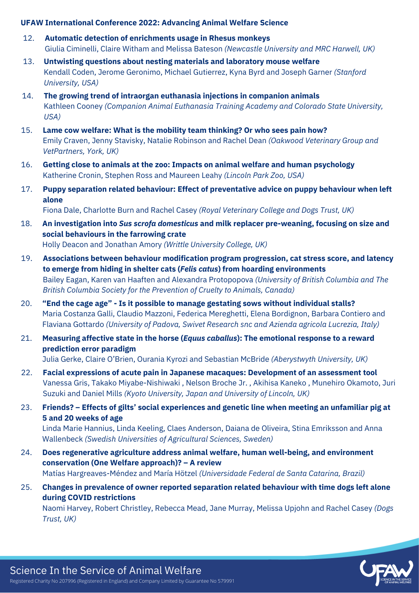- 12. **Automatic detection of enrichments usage in Rhesus monkeys** Giulia Ciminelli, Claire Witham and Melissa Bateson *(Newcastle University and MRC Harwell, UK)*
- 13. **Untwisting questions about nesting materials and laboratory mouse welfare** Kendall Coden, Jerome Geronimo, Michael Gutierrez, Kyna Byrd and Joseph Garner *(Stanford University, USA)*
- 14. **The growing trend of intraorgan euthanasia injections in companion animals** Kathleen Cooney *(Companion Animal Euthanasia Training Academy and Colorado State University, USA)*
- 15. **Lame cow welfare: What is the mobility team thinking? Or who sees pain how?** Emily Craven, Jenny Stavisky, Natalie Robinson and Rachel Dean *(Oakwood Veterinary Group and VetPartners, York, UK)*
- 16. **Getting close to animals at the zoo: Impacts on animal welfare and human psychology** Katherine Cronin, Stephen Ross and Maureen Leahy *(Lincoln Park Zoo, USA)*
- 17. **Puppy separation related behaviour: Effect of preventative advice on puppy behaviour when left alone**

Fiona Dale, Charlotte Burn and Rachel Casey *(Royal Veterinary College and Dogs Trust, UK)*

- 18. **An investigation into** *Sus scrofa domesticus* **and milk replacer pre-weaning, focusing on size and social behaviours in the farrowing crate** Holly Deacon and Jonathan Amory *(Writtle University College, UK)*
- 19. **Associations between behaviour modification program progression, cat stress score, and latency to emerge from hiding in shelter cats (***Felis catus***) from hoarding environments** Bailey Eagan, Karen van Haaften and Alexandra Protopopova *(University of British Columbia and The British Columbia Society for the Prevention of Cruelty to Animals, Canada)*
- 20. **"End the cage age" - Is it possible to manage gestating sows without individual stalls?** Maria Costanza Galli, Claudio Mazzoni, Federica Mereghetti, Elena Bordignon, Barbara Contiero and Flaviana Gottardo *(University of Padova, Swivet Research snc and Azienda agricola Lucrezia, Italy)*
- 21. **Measuring affective state in the horse (***Equus caballus***): The emotional response to a reward prediction error paradigm**

Julia Gerke, Claire O'Brien, Ourania Kyrozi and Sebastian McBride *(Aberystwyth University, UK)*

- 22. **Facial expressions of acute pain in Japanese macaques: Development of an assessment tool** Vanessa Gris, Takako Miyabe-Nishiwaki , Nelson Broche Jr. , Akihisa Kaneko , Munehiro Okamoto, Juri Suzuki and Daniel Mills *(Kyoto University, Japan and University of Lincoln, UK)*
- 23. **Friends? – Effects of gilts' social experiences and genetic line when meeting an unfamiliar pig at 5 and 20 weeks of age** Linda Marie Hannius, Linda Keeling, Claes Anderson, Daiana de Oliveira, Stina Emriksson and Anna Wallenbeck *(Swedish Universities of Agricultural Sciences, Sweden)*
- 24. **Does regenerative agriculture address animal welfare, human well-being, and environment conservation (One Welfare approach)? – A review** Matías Hargreaves-Méndez and María Hötzel *(Universidade Federal de Santa Catarina, Brazil)*
- 25. **Changes in prevalence of owner reported separation related behaviour with time dogs left alone during COVID restrictions**

Naomi Harvey, Robert Christley, Rebecca Mead, Jane Murray, Melissa Upjohn and Rachel Casey *(Dogs Trust, UK)*

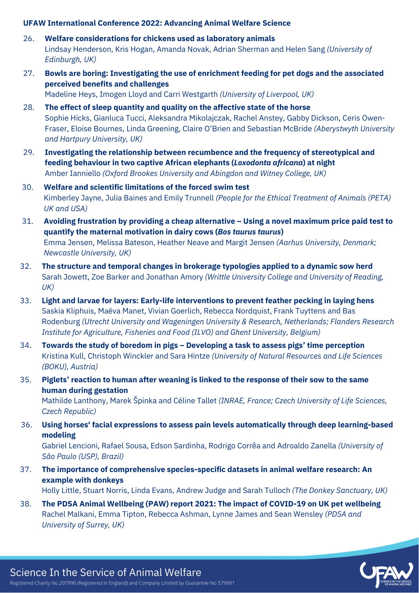- 26. **Welfare considerations for chickens used as laboratory animals** Lindsay Henderson, Kris Hogan, Amanda Novak, Adrian Sherman and Helen Sang *(University of Edinburgh, UK)*
- 27. **Bowls are boring: Investigating the use of enrichment feeding for pet dogs and the associated perceived benefits and challenges** Madeline Heys, Imogen Lloyd and Carri Westgarth *(University of Liverpool, UK)*
- 28. **The effect of sleep quantity and quality on the affective state of the horse** Sophie Hicks, Gianluca Tucci, Aleksandra Mikolajczak, Rachel Anstey, Gabby Dickson, Ceris Owen-Fraser, Eloise Bournes, Linda Greening, Claire O'Brien and Sebastian McBride *(Aberystwyth University and Hartpury University, UK)*
- 29. **Investigating the relationship between recumbence and the frequency of stereotypical and feeding behaviour in two captive African elephants (***Loxodonta africana***) at night** Amber Ianniello *(Oxford Brookes University and Abingdon and Witney College, UK)*
- 30. **Welfare and scientific limitations of the forced swim test** Kimberley Jayne, Julia Baines and Emily Trunnell *(People for the Ethical Treatment of Animals (PETA) UK and USA)*
- 31. **Avoiding frustration by providing a cheap alternative – Using a novel maximum price paid test to quantify the maternal motivation in dairy cows (***Bos taurus taurus***)** Emma Jensen, Melissa Bateson, Heather Neave and Margit Jensen *(Aarhus University, Denmark; Newcastle University, UK)*
- 32. **The structure and temporal changes in brokerage typologies applied to a dynamic sow herd** Sarah Jowett, Zoe Barker and Jonathan Amory *(Writtle University College and University of Reading, UK)*
- 33. **Light and larvae for layers: Early-life interventions to prevent feather pecking in laying hens** Saskia Kliphuis, Maëva Manet, Vivian Goerlich, Rebecca Nordquist, Frank Tuyttens and Bas Rodenburg *(Utrecht University and Wageningen University & Research, Netherlands; Flanders Research Institute for Agriculture, Fisheries and Food (ILVO) and Ghent University, Belgium)*
- 34. **Towards the study of boredom in pigs – Developing a task to assess pigs' time perception** Kristina Kull, Christoph Winckler and Sara Hintze *(University of Natural Resources and Life Sciences (BOKU), Austria)*
- 35. **Piglets' reaction to human after weaning is linked to the response of their sow to the same human during gestation**

Mathilde Lanthony, Marek Špinka and Céline Tallet *(INRAE, France; Czech University of Life Sciences, Czech Republic)*

**Using horses' facial expressions to assess pain levels automatically through deep learning-based modeling** 36.

Gabriel Lencioni, Rafael Sousa, Edson Sardinha, Rodrigo Corrêa and Adroaldo Zanella *(University of São Paulo (USP), Brazil)*

**The importance of comprehensive species-specific datasets in animal welfare research: An example with donkeys** 37.

Holly Little, Stuart Norris, Linda Evans, Andrew Judge and Sarah Tulloch *(The Donkey Sanctuary, UK)*

**The PDSA Animal Wellbeing (PAW) report 2021: The impact of COVID-19 on UK pet wellbeing** Rachel Malkani, Emma Tipton, Rebecca Ashman, Lynne James and Sean Wensley *(PDSA and University of Surrey, UK)* 38.

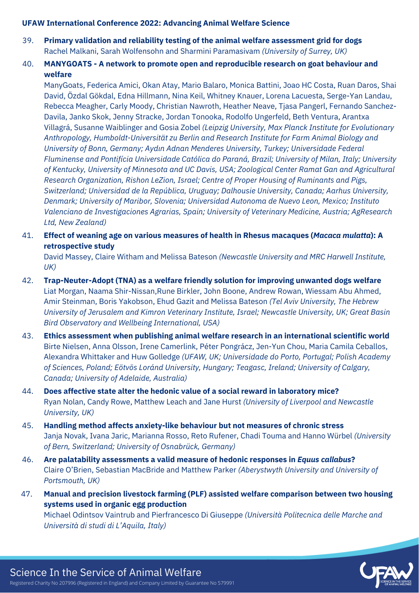- **Primary validation and reliability testing of the animal welfare assessment grid for dogs** Rachel Malkani, Sarah Wolfensohn and Sharmini Paramasivam *(University of Surrey, UK)* 39.
- **MANYGOATS - A network to promote open and reproducible research on goat behaviour and welfare** 40.

ManyGoats, Federica Amici, Okan Atay, Mario Balaro, Monica Battini, Joao HC Costa, Ruan Daros, Shai David, Özdal Gökdal, Edna Hillmann, Nina Keil, Whitney Knauer, Lorena Lacuesta, Serge-Yan Landau, Rebecca Meagher, Carly Moody, Christian Nawroth, Heather Neave, Tjasa Pangerl, Fernando Sanchez-Davila, Janko Skok, Jenny Stracke, Jordan Tonooka, Rodolfo Ungerfeld, Beth Ventura, Arantxa Villagrá, Susanne Waiblinger and Gosia Zobel *(Leipzig University, Max Planck Institute for Evolutionary Anthropology, Humboldt-Universität zu Berlin and Research Institute for Farm Animal Biology and University of Bonn, Germany; Aydın Adnan Menderes University, Turkey; Universidade Federal Fluminense and Pontifícia Universidade Católica do Paraná, Brazil; University of Milan, Italy; University of Kentucky, University of Minnesota and UC Davis, USA; Zoological Center Ramat Gan and Agricultural Research Organization, Rishon LeZion, Israel; Centre of Proper Housing of Ruminants and Pigs, Switzerland; Universidad de la República, Uruguay; Dalhousie University, Canada; Aarhus University, Denmark; University of Maribor, Slovenia; Universidad Autonoma de Nuevo Leon, Mexico; Instituto Valenciano de Investigaciones Agrarias, Spain; University of Veterinary Medicine, Austria; AgResearch Ltd, New Zealand)*

41. **Effect of weaning age on various measures of health in Rhesus macaques (***Macaca mulatta***): A retrospective study**

David Massey, Claire Witham and Melissa Bateson *(Newcastle University and MRC Harwell Institute, UK)*

- 42. **Trap-Neuter-Adopt (TNA) as a welfare friendly solution for improving unwanted dogs welfare** Liat Morgan, Naama Shir-Nissan,Rune Birkler, John Boone, Andrew Rowan, Wiessam Abu Ahmed, Amir Steinman, Boris Yakobson, Ehud Gazit and Melissa Bateson *(Tel Aviv University, The Hebrew University of Jerusalem and Kimron Veterinary Institute, Israel; Newcastle University, UK; Great Basin Bird Observatory and Wellbeing International, USA)*
- 43. **Ethics assessment when publishing animal welfare research in an international scientific world** Birte Nielsen, Anna Olsson, Irene Camerlink, Péter Pongrácz, Jen-Yun Chou, Maria Camila Ceballos, Alexandra Whittaker and Huw Golledge *(UFAW, UK; Universidade do Porto, Portugal; Polish Academy of Sciences, Poland; Eötvös Loránd University, Hungary; Teagasc, Ireland; University of Calgary, Canada; University of Adelaide, Australia)*
- 44. **Does affective state alter the hedonic value of a social reward in laboratory mice?** Ryan Nolan, Candy Rowe, Matthew Leach and Jane Hurst *(University of Liverpool and Newcastle University, UK)*
- 45. **Handling method affects anxiety-like behaviour but not measures of chronic stress** Janja Novak, Ivana Jaric, Marianna Rosso, Reto Rufener, Chadi Touma and Hanno Würbel *(University of Bern, Switzerland; University of Osnabrück, Germany)*
- 46. **Are palatability assessments a valid measure of hedonic responses in** *Equus callabus***?** Claire O'Brien, Sebastian MacBride and Matthew Parker *(Aberystwyth University and University of Portsmouth, UK)*
- 47. **Manual and precision livestock farming (PLF) assisted welfare comparison between two housing systems used in organic egg production** Michael Odintsov Vaintrub and Pierfrancesco Di Giuseppe *(Università Politecnica delle Marche and Università di studi di L'Aquila, Italy)*

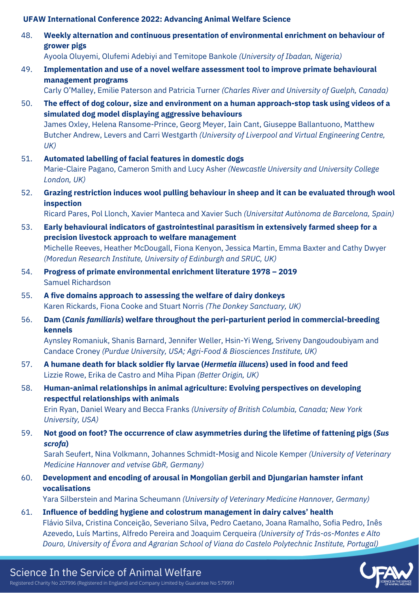48. **Weekly alternation and continuous presentation of environmental enrichment on behaviour of grower pigs**

Ayoola Oluyemi, Olufemi Adebiyi and Temitope Bankole *(University of Ibadan, Nigeria)*

49. **Implementation and use of a novel welfare assessment tool to improve primate behavioural management programs**

Carly O'Malley, Emilie Paterson and Patricia Turner *(Charles River and University of Guelph, Canada)*

50. **The effect of dog colour, size and environment on a human approach-stop task using videos of a simulated dog model displaying aggressive behaviours** James Oxley, Helena Ransome-Prince, Georg Meyer, Iain Cant, Giuseppe Ballantuono, Matthew Butcher Andrew, Levers and Carri Westgarth *(University of Liverpool and Virtual Engineering Centre,*

*UK)*

- 51. **Automated labelling of facial features in domestic dogs** Marie-Claire Pagano, Cameron Smith and Lucy Asher *(Newcastle University and University College London, UK)*
- **Grazing restriction induces wool pulling behaviour in sheep and it can be evaluated through wool inspection** 52.

Ricard Pares, Pol Llonch, Xavier Manteca and Xavier Such *(Universitat Autònoma de Barcelona, Spain)*

- 53. **Early behavioural indicators of gastrointestinal parasitism in extensively farmed sheep for a precision livestock approach to welfare management** Michelle Reeves, Heather McDougall, Fiona Kenyon, Jessica Martin, Emma Baxter and Cathy Dwyer *(Moredun Research Institute, University of Edinburgh and SRUC, UK)*
- 54. **Progress of primate environmental enrichment literature 1978 – 2019** Samuel Richardson
- 55. **A five domains approach to assessing the welfare of dairy donkeys** Karen Rickards, Fiona Cooke and Stuart Norris *(The Donkey Sanctuary, UK)*
- 56. **Dam (***Canis familiaris***) welfare throughout the peri-parturient period in commercial-breeding kennels**

Aynsley Romaniuk, Shanis Barnard, Jennifer Weller, Hsin-Yi Weng, Sriveny Dangoudoubiyam and Candace Croney *(Purdue University, USA; Agri-Food & Biosciences Institute, UK)*

- 57. **A humane death for black soldier fly larvae (***Hermetia illucens***) used in food and feed** Lizzie Rowe, Erika de Castro and Miha Pipan *(Better Origin, UK)*
- 58. **Human-animal relationships in animal agriculture: Evolving perspectives on developing respectful relationships with animals**

Erin Ryan, Daniel Weary and Becca Franks *(University of British Columbia, Canada; New York University, USA)*

59. **Not good on foot? The occurrence of claw asymmetries during the lifetime of fattening pigs (***Sus scrofa***)**

Sarah Seufert, Nina Volkmann, Johannes Schmidt-Mosig and Nicole Kemper *(University of Veterinary Medicine Hannover and vetvise GbR, Germany)*

60. **Development and encoding of arousal in Mongolian gerbil and Djungarian hamster infant vocalisations**

Yara Silberstein and Marina Scheumann *(University of Veterinary Medicine Hannover, Germany)*

61. **Influence of bedding hygiene and colostrum management in dairy calves' health** Flávio Silva, Cristina Conceição, Severiano Silva, Pedro Caetano, Joana Ramalho, Sofia Pedro, Inês Azevedo, Luís Martins, Alfredo Pereira and Joaquim Cerqueira *(University of Trás-os-Montes e Alto Douro, University of Évora and Agrarian School of Viana do Castelo Polytechnic Institute, Portugal)*